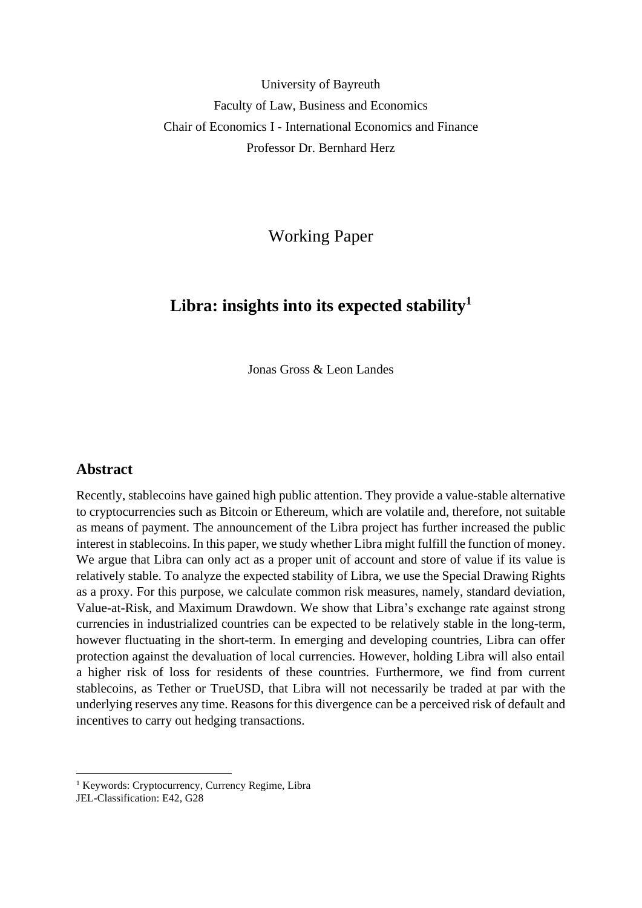University of Bayreuth Faculty of Law, Business and Economics Chair of Economics I - International Economics and Finance Professor Dr. Bernhard Herz

Working Paper

# **Libra: insights into its expected stability<sup>1</sup>**

Jonas Gross & Leon Landes

# **Abstract**

Recently, stablecoins have gained high public attention. They provide a value-stable alternative to cryptocurrencies such as Bitcoin or Ethereum, which are volatile and, therefore, not suitable as means of payment. The announcement of the Libra project has further increased the public interest in stablecoins. In this paper, we study whether Libra might fulfill the function of money. We argue that Libra can only act as a proper unit of account and store of value if its value is relatively stable. To analyze the expected stability of Libra, we use the Special Drawing Rights as a proxy. For this purpose, we calculate common risk measures, namely, standard deviation, Value-at-Risk, and Maximum Drawdown. We show that Libra's exchange rate against strong currencies in industrialized countries can be expected to be relatively stable in the long-term, however fluctuating in the short-term. In emerging and developing countries, Libra can offer protection against the devaluation of local currencies. However, holding Libra will also entail a higher risk of loss for residents of these countries. Furthermore, we find from current stablecoins, as Tether or TrueUSD, that Libra will not necessarily be traded at par with the underlying reserves any time. Reasons for this divergence can be a perceived risk of default and incentives to carry out hedging transactions.

<sup>&</sup>lt;sup>1</sup> Keywords: Cryptocurrency, Currency Regime, Libra

JEL-Classification: E42, G28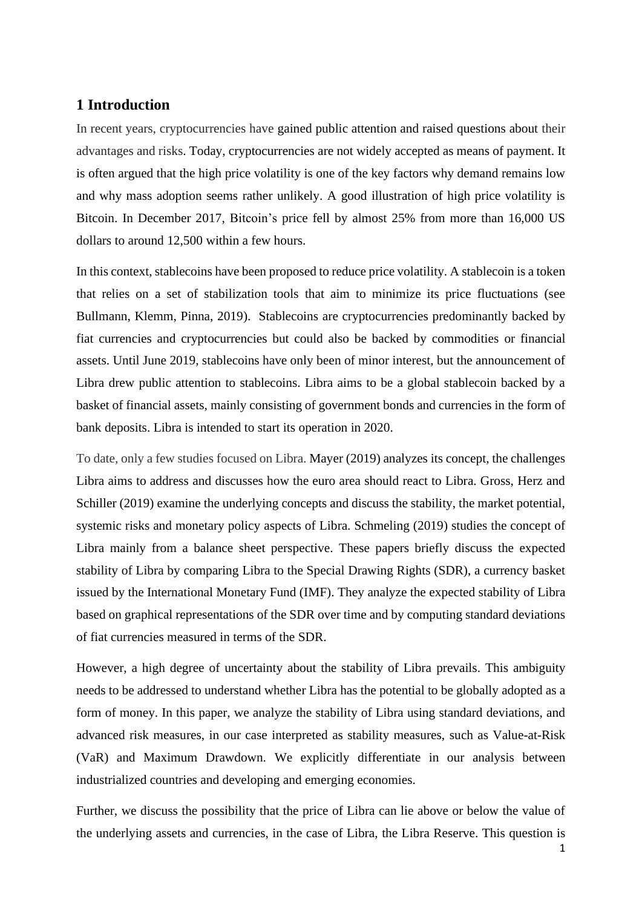# **1 Introduction**

In recent years, cryptocurrencies have gained public attention and raised questions about their advantages and risks. Today, cryptocurrencies are not widely accepted as means of payment. It is often argued that the high price volatility is one of the key factors why demand remains low and why mass adoption seems rather unlikely. A good illustration of high price volatility is Bitcoin. In December 2017, Bitcoin's price fell by almost 25% from more than 16,000 US dollars to around 12,500 within a few hours.

In this context, stablecoins have been proposed to reduce price volatility. A stablecoin is a token that relies on a set of stabilization tools that aim to minimize its price fluctuations (see Bullmann, Klemm, Pinna, 2019). Stablecoins are cryptocurrencies predominantly backed by fiat currencies and cryptocurrencies but could also be backed by commodities or financial assets. Until June 2019, stablecoins have only been of minor interest, but the announcement of Libra drew public attention to stablecoins. Libra aims to be a global stablecoin backed by a basket of financial assets, mainly consisting of government bonds and currencies in the form of bank deposits. Libra is intended to start its operation in 2020.

To date, only a few studies focused on Libra. Mayer (2019) analyzes its concept, the challenges Libra aims to address and discusses how the euro area should react to Libra. Gross, Herz and Schiller (2019) examine the underlying concepts and discuss the stability, the market potential, systemic risks and monetary policy aspects of Libra. Schmeling (2019) studies the concept of Libra mainly from a balance sheet perspective. These papers briefly discuss the expected stability of Libra by comparing Libra to the Special Drawing Rights (SDR), a currency basket issued by the International Monetary Fund (IMF). They analyze the expected stability of Libra based on graphical representations of the SDR over time and by computing standard deviations of fiat currencies measured in terms of the SDR.

However, a high degree of uncertainty about the stability of Libra prevails. This ambiguity needs to be addressed to understand whether Libra has the potential to be globally adopted as a form of money. In this paper, we analyze the stability of Libra using standard deviations, and advanced risk measures, in our case interpreted as stability measures, such as Value-at-Risk (VaR) and Maximum Drawdown. We explicitly differentiate in our analysis between industrialized countries and developing and emerging economies.

Further, we discuss the possibility that the price of Libra can lie above or below the value of the underlying assets and currencies, in the case of Libra, the Libra Reserve. This question is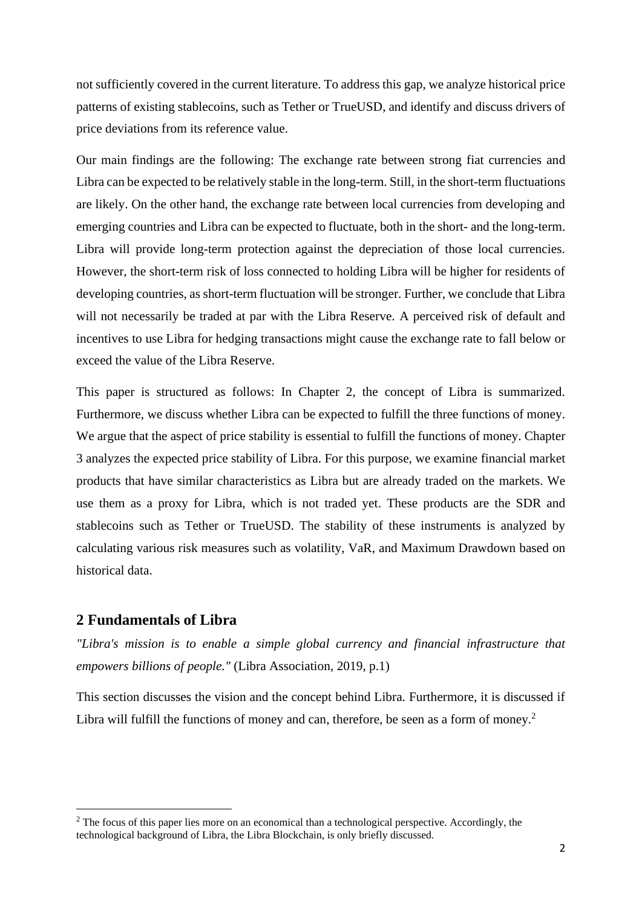not sufficiently covered in the current literature. To address this gap, we analyze historical price patterns of existing stablecoins, such as Tether or TrueUSD, and identify and discuss drivers of price deviations from its reference value.

Our main findings are the following: The exchange rate between strong fiat currencies and Libra can be expected to be relatively stable in the long-term. Still, in the short-term fluctuations are likely. On the other hand, the exchange rate between local currencies from developing and emerging countries and Libra can be expected to fluctuate, both in the short- and the long-term. Libra will provide long-term protection against the depreciation of those local currencies. However, the short-term risk of loss connected to holding Libra will be higher for residents of developing countries, as short-term fluctuation will be stronger. Further, we conclude that Libra will not necessarily be traded at par with the Libra Reserve. A perceived risk of default and incentives to use Libra for hedging transactions might cause the exchange rate to fall below or exceed the value of the Libra Reserve.

This paper is structured as follows: In Chapter 2, the concept of Libra is summarized. Furthermore, we discuss whether Libra can be expected to fulfill the three functions of money. We argue that the aspect of price stability is essential to fulfill the functions of money. Chapter 3 analyzes the expected price stability of Libra. For this purpose, we examine financial market products that have similar characteristics as Libra but are already traded on the markets. We use them as a proxy for Libra, which is not traded yet. These products are the SDR and stablecoins such as Tether or TrueUSD. The stability of these instruments is analyzed by calculating various risk measures such as volatility, VaR, and Maximum Drawdown based on historical data.

# **2 Fundamentals of Libra**

*"Libra's mission is to enable a simple global currency and financial infrastructure that empowers billions of people."* (Libra Association, 2019, p.1)

This section discusses the vision and the concept behind Libra. Furthermore, it is discussed if Libra will fulfill the functions of money and can, therefore, be seen as a form of money.<sup>2</sup>

 $2$  The focus of this paper lies more on an economical than a technological perspective. Accordingly, the technological background of Libra, the Libra Blockchain, is only briefly discussed.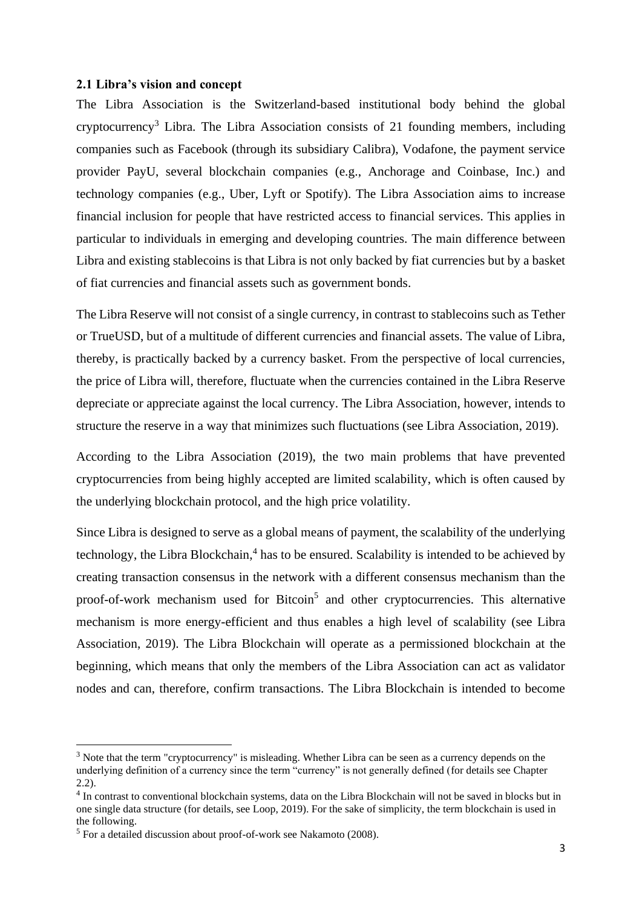#### **2.1 Libra's vision and concept**

The Libra Association is the Switzerland-based institutional body behind the global cryptocurrency<sup>3</sup> Libra. The Libra Association consists of 21 founding members, including companies such as Facebook (through its subsidiary Calibra), Vodafone, the payment service provider PayU, several blockchain companies (e.g., Anchorage and Coinbase, Inc.) and technology companies (e.g., Uber, Lyft or Spotify). The Libra Association aims to increase financial inclusion for people that have restricted access to financial services. This applies in particular to individuals in emerging and developing countries. The main difference between Libra and existing stablecoins is that Libra is not only backed by fiat currencies but by a basket of fiat currencies and financial assets such as government bonds.

The Libra Reserve will not consist of a single currency, in contrast to stablecoins such as Tether or TrueUSD, but of a multitude of different currencies and financial assets. The value of Libra, thereby, is practically backed by a currency basket. From the perspective of local currencies, the price of Libra will, therefore, fluctuate when the currencies contained in the Libra Reserve depreciate or appreciate against the local currency. The Libra Association, however, intends to structure the reserve in a way that minimizes such fluctuations (see Libra Association, 2019).

According to the Libra Association (2019), the two main problems that have prevented cryptocurrencies from being highly accepted are limited scalability, which is often caused by the underlying blockchain protocol, and the high price volatility.

Since Libra is designed to serve as a global means of payment, the scalability of the underlying technology, the Libra Blockchain,<sup>4</sup> has to be ensured. Scalability is intended to be achieved by creating transaction consensus in the network with a different consensus mechanism than the proof-of-work mechanism used for Bitcoin<sup>5</sup> and other cryptocurrencies. This alternative mechanism is more energy-efficient and thus enables a high level of scalability (see Libra Association, 2019). The Libra Blockchain will operate as a permissioned blockchain at the beginning, which means that only the members of the Libra Association can act as validator nodes and can, therefore, confirm transactions. The Libra Blockchain is intended to become

<sup>&</sup>lt;sup>3</sup> Note that the term "cryptocurrency" is misleading. Whether Libra can be seen as a currency depends on the underlying definition of a currency since the term "currency" is not generally defined (for details see Chapter 2.2).

<sup>&</sup>lt;sup>4</sup> In contrast to conventional blockchain systems, data on the Libra Blockchain will not be saved in blocks but in one single data structure (for details, see Loop, 2019). For the sake of simplicity, the term blockchain is used in the following.

 $<sup>5</sup>$  For a detailed discussion about proof-of-work see Nakamoto (2008).</sup>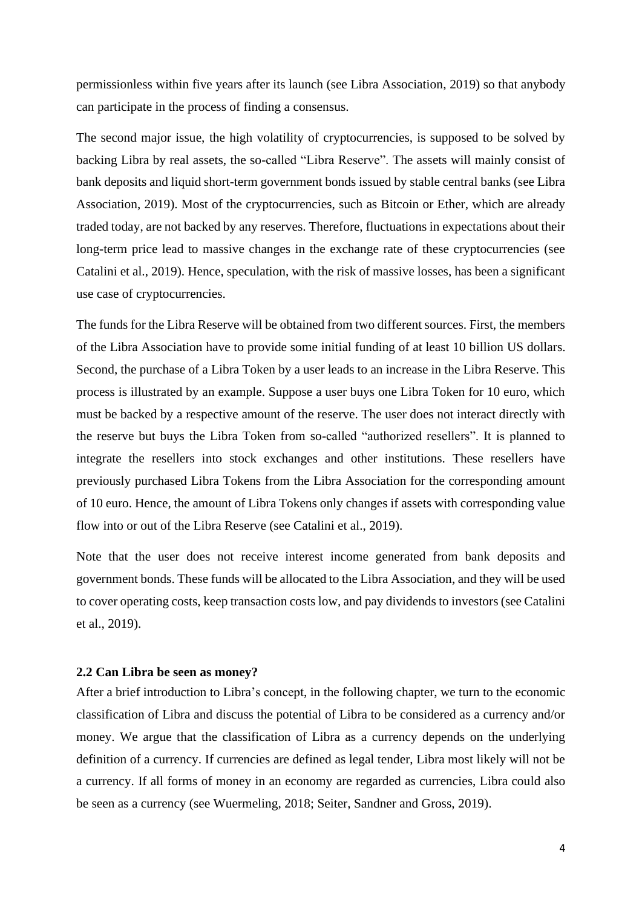permissionless within five years after its launch (see Libra Association, 2019) so that anybody can participate in the process of finding a consensus.

The second major issue, the high volatility of cryptocurrencies, is supposed to be solved by backing Libra by real assets, the so-called "Libra Reserve". The assets will mainly consist of bank deposits and liquid short-term government bonds issued by stable central banks (see Libra Association, 2019). Most of the cryptocurrencies, such as Bitcoin or Ether, which are already traded today, are not backed by any reserves. Therefore, fluctuations in expectations about their long-term price lead to massive changes in the exchange rate of these cryptocurrencies (see Catalini et al., 2019). Hence, speculation, with the risk of massive losses, has been a significant use case of cryptocurrencies.

The funds for the Libra Reserve will be obtained from two different sources. First, the members of the Libra Association have to provide some initial funding of at least 10 billion US dollars. Second, the purchase of a Libra Token by a user leads to an increase in the Libra Reserve. This process is illustrated by an example. Suppose a user buys one Libra Token for 10 euro, which must be backed by a respective amount of the reserve. The user does not interact directly with the reserve but buys the Libra Token from so-called "authorized resellers". It is planned to integrate the resellers into stock exchanges and other institutions. These resellers have previously purchased Libra Tokens from the Libra Association for the corresponding amount of 10 euro. Hence, the amount of Libra Tokens only changes if assets with corresponding value flow into or out of the Libra Reserve (see Catalini et al., 2019).

Note that the user does not receive interest income generated from bank deposits and government bonds. These funds will be allocated to the Libra Association, and they will be used to cover operating costs, keep transaction costs low, and pay dividends to investors (see Catalini et al., 2019).

#### **2.2 Can Libra be seen as money?**

After a brief introduction to Libra's concept, in the following chapter, we turn to the economic classification of Libra and discuss the potential of Libra to be considered as a currency and/or money. We argue that the classification of Libra as a currency depends on the underlying definition of a currency. If currencies are defined as legal tender, Libra most likely will not be a currency. If all forms of money in an economy are regarded as currencies, Libra could also be seen as a currency (see Wuermeling, 2018; Seiter, Sandner and Gross, 2019).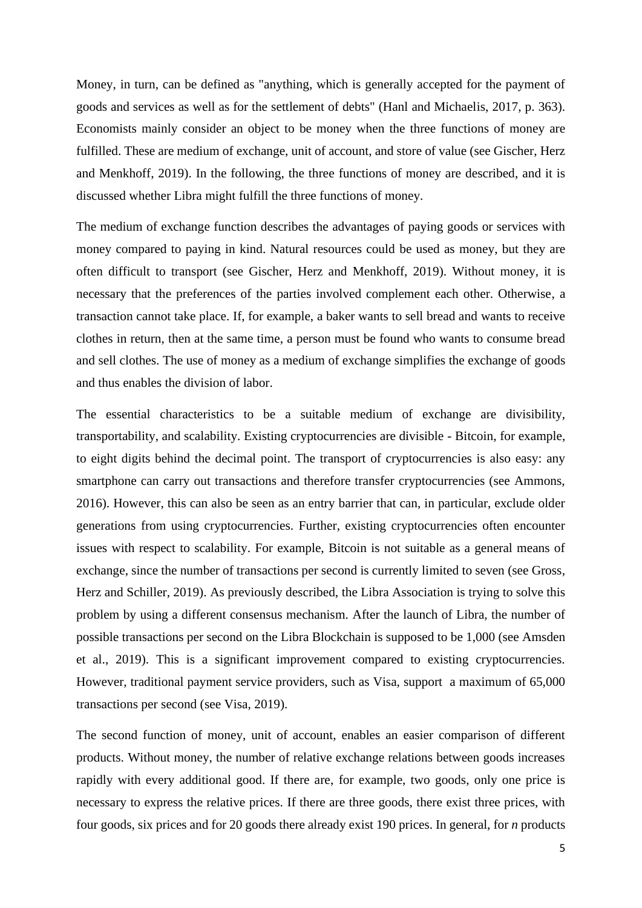Money, in turn, can be defined as "anything, which is generally accepted for the payment of goods and services as well as for the settlement of debts" (Hanl and Michaelis, 2017, p. 363). Economists mainly consider an object to be money when the three functions of money are fulfilled. These are medium of exchange, unit of account, and store of value (see Gischer, Herz and Menkhoff, 2019). In the following, the three functions of money are described, and it is discussed whether Libra might fulfill the three functions of money.

The medium of exchange function describes the advantages of paying goods or services with money compared to paying in kind. Natural resources could be used as money, but they are often difficult to transport (see Gischer, Herz and Menkhoff, 2019). Without money, it is necessary that the preferences of the parties involved complement each other. Otherwise, a transaction cannot take place. If, for example, a baker wants to sell bread and wants to receive clothes in return, then at the same time, a person must be found who wants to consume bread and sell clothes. The use of money as a medium of exchange simplifies the exchange of goods and thus enables the division of labor.

The essential characteristics to be a suitable medium of exchange are divisibility, transportability, and scalability. Existing cryptocurrencies are divisible - Bitcoin, for example, to eight digits behind the decimal point. The transport of cryptocurrencies is also easy: any smartphone can carry out transactions and therefore transfer cryptocurrencies (see Ammons, 2016). However, this can also be seen as an entry barrier that can, in particular, exclude older generations from using cryptocurrencies. Further, existing cryptocurrencies often encounter issues with respect to scalability. For example, Bitcoin is not suitable as a general means of exchange, since the number of transactions per second is currently limited to seven (see Gross, Herz and Schiller, 2019). As previously described, the Libra Association is trying to solve this problem by using a different consensus mechanism. After the launch of Libra, the number of possible transactions per second on the Libra Blockchain is supposed to be 1,000 (see Amsden et al., 2019). This is a significant improvement compared to existing cryptocurrencies. However, traditional payment service providers, such as Visa, support a maximum of 65,000 transactions per second (see Visa, 2019).

The second function of money, unit of account, enables an easier comparison of different products. Without money, the number of relative exchange relations between goods increases rapidly with every additional good. If there are, for example, two goods, only one price is necessary to express the relative prices. If there are three goods, there exist three prices, with four goods, six prices and for 20 goods there already exist 190 prices. In general, for *n* products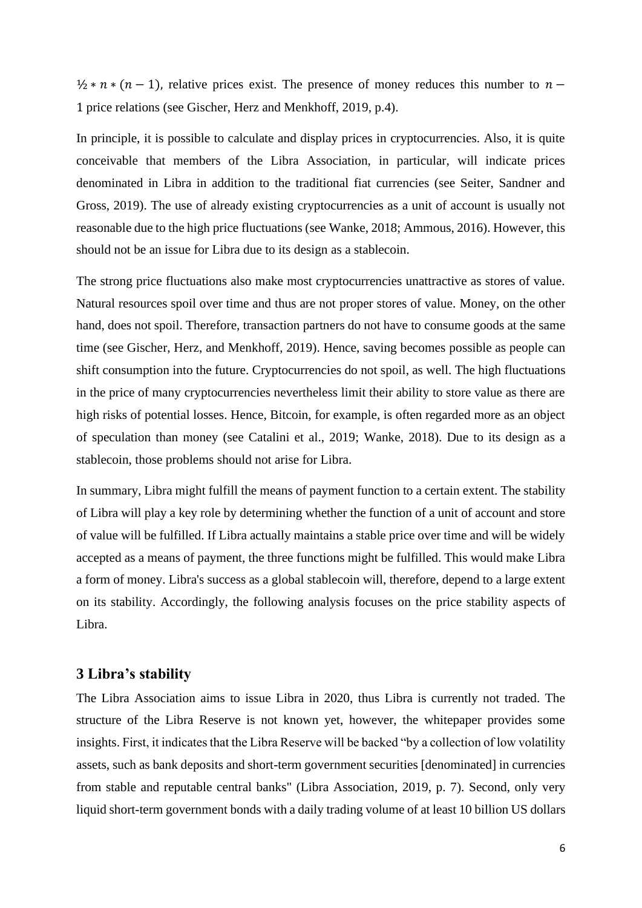$\frac{1}{2}$  \*  $n$  \*  $(n-1)$ , relative prices exist. The presence of money reduces this number to  $n-1$ 1 price relations (see Gischer, Herz and Menkhoff, 2019, p.4).

In principle, it is possible to calculate and display prices in cryptocurrencies. Also, it is quite conceivable that members of the Libra Association, in particular, will indicate prices denominated in Libra in addition to the traditional fiat currencies (see Seiter, Sandner and Gross, 2019). The use of already existing cryptocurrencies as a unit of account is usually not reasonable due to the high price fluctuations (see Wanke, 2018; Ammous, 2016). However, this should not be an issue for Libra due to its design as a stablecoin.

The strong price fluctuations also make most cryptocurrencies unattractive as stores of value. Natural resources spoil over time and thus are not proper stores of value. Money, on the other hand, does not spoil. Therefore, transaction partners do not have to consume goods at the same time (see Gischer, Herz, and Menkhoff, 2019). Hence, saving becomes possible as people can shift consumption into the future. Cryptocurrencies do not spoil, as well. The high fluctuations in the price of many cryptocurrencies nevertheless limit their ability to store value as there are high risks of potential losses. Hence, Bitcoin, for example, is often regarded more as an object of speculation than money (see Catalini et al., 2019; Wanke, 2018). Due to its design as a stablecoin, those problems should not arise for Libra.

In summary, Libra might fulfill the means of payment function to a certain extent. The stability of Libra will play a key role by determining whether the function of a unit of account and store of value will be fulfilled. If Libra actually maintains a stable price over time and will be widely accepted as a means of payment, the three functions might be fulfilled. This would make Libra a form of money. Libra's success as a global stablecoin will, therefore, depend to a large extent on its stability. Accordingly, the following analysis focuses on the price stability aspects of Libra.

## **3 Libra's stability**

The Libra Association aims to issue Libra in 2020, thus Libra is currently not traded. The structure of the Libra Reserve is not known yet, however, the whitepaper provides some insights. First, it indicates that the Libra Reserve will be backed "by a collection of low volatility assets, such as bank deposits and short-term government securities [denominated] in currencies from stable and reputable central banks" (Libra Association, 2019, p. 7). Second, only very liquid short-term government bonds with a daily trading volume of at least 10 billion US dollars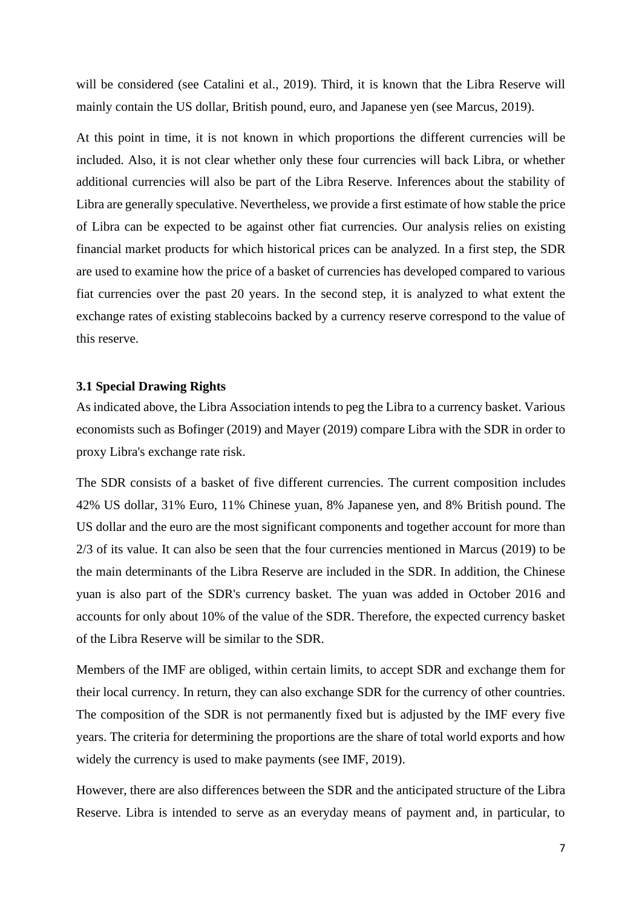will be considered (see Catalini et al., 2019). Third, it is known that the Libra Reserve will mainly contain the US dollar, British pound, euro, and Japanese yen (see Marcus, 2019).

At this point in time, it is not known in which proportions the different currencies will be included. Also, it is not clear whether only these four currencies will back Libra, or whether additional currencies will also be part of the Libra Reserve. Inferences about the stability of Libra are generally speculative. Nevertheless, we provide a first estimate of how stable the price of Libra can be expected to be against other fiat currencies. Our analysis relies on existing financial market products for which historical prices can be analyzed. In a first step, the SDR are used to examine how the price of a basket of currencies has developed compared to various fiat currencies over the past 20 years. In the second step, it is analyzed to what extent the exchange rates of existing stablecoins backed by a currency reserve correspond to the value of this reserve.

#### **3.1 Special Drawing Rights**

As indicated above, the Libra Association intends to peg the Libra to a currency basket. Various economists such as Bofinger (2019) and Mayer (2019) compare Libra with the SDR in order to proxy Libra's exchange rate risk.

The SDR consists of a basket of five different currencies. The current composition includes 42% US dollar, 31% Euro, 11% Chinese yuan, 8% Japanese yen, and 8% British pound. The US dollar and the euro are the most significant components and together account for more than 2/3 of its value. It can also be seen that the four currencies mentioned in Marcus (2019) to be the main determinants of the Libra Reserve are included in the SDR. In addition, the Chinese yuan is also part of the SDR's currency basket. The yuan was added in October 2016 and accounts for only about 10% of the value of the SDR. Therefore, the expected currency basket of the Libra Reserve will be similar to the SDR.

Members of the IMF are obliged, within certain limits, to accept SDR and exchange them for their local currency. In return, they can also exchange SDR for the currency of other countries. The composition of the SDR is not permanently fixed but is adjusted by the IMF every five years. The criteria for determining the proportions are the share of total world exports and how widely the currency is used to make payments (see IMF, 2019).

However, there are also differences between the SDR and the anticipated structure of the Libra Reserve. Libra is intended to serve as an everyday means of payment and, in particular, to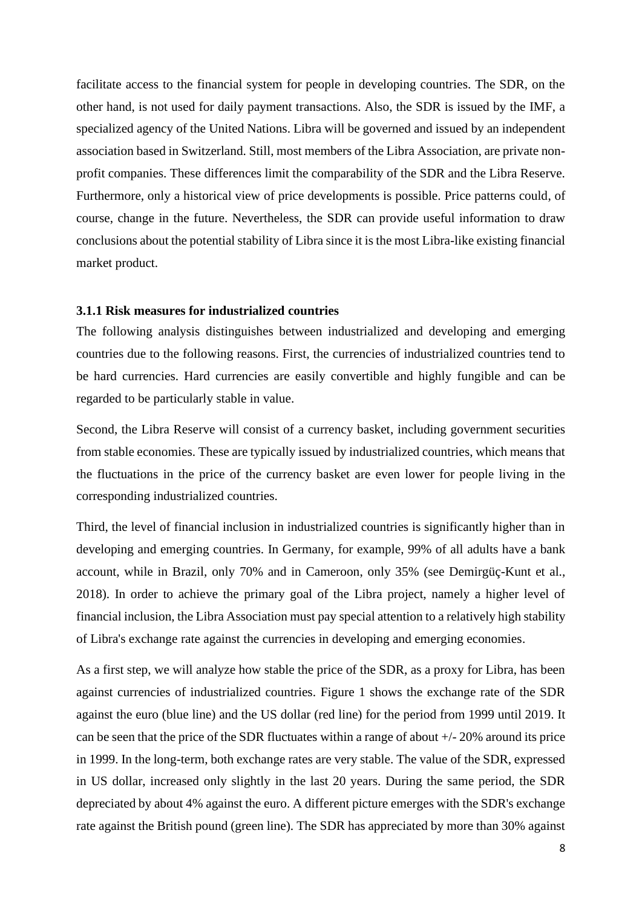facilitate access to the financial system for people in developing countries. The SDR, on the other hand, is not used for daily payment transactions. Also, the SDR is issued by the IMF, a specialized agency of the United Nations. Libra will be governed and issued by an independent association based in Switzerland. Still, most members of the Libra Association, are private nonprofit companies. These differences limit the comparability of the SDR and the Libra Reserve. Furthermore, only a historical view of price developments is possible. Price patterns could, of course, change in the future. Nevertheless, the SDR can provide useful information to draw conclusions about the potential stability of Libra since it is the most Libra-like existing financial market product.

#### **3.1.1 Risk measures for industrialized countries**

The following analysis distinguishes between industrialized and developing and emerging countries due to the following reasons. First, the currencies of industrialized countries tend to be hard currencies. Hard currencies are easily convertible and highly fungible and can be regarded to be particularly stable in value.

Second, the Libra Reserve will consist of a currency basket, including government securities from stable economies. These are typically issued by industrialized countries, which means that the fluctuations in the price of the currency basket are even lower for people living in the corresponding industrialized countries.

Third, the level of financial inclusion in industrialized countries is significantly higher than in developing and emerging countries. In Germany, for example, 99% of all adults have a bank account, while in Brazil, only 70% and in Cameroon, only 35% (see Demirgüç-Kunt et al., 2018). In order to achieve the primary goal of the Libra project, namely a higher level of financial inclusion, the Libra Association must pay special attention to a relatively high stability of Libra's exchange rate against the currencies in developing and emerging economies.

As a first step, we will analyze how stable the price of the SDR, as a proxy for Libra, has been against currencies of industrialized countries. Figure 1 shows the exchange rate of the SDR against the euro (blue line) and the US dollar (red line) for the period from 1999 until 2019. It can be seen that the price of the SDR fluctuates within a range of about +/- 20% around its price in 1999. In the long-term, both exchange rates are very stable. The value of the SDR, expressed in US dollar, increased only slightly in the last 20 years. During the same period, the SDR depreciated by about 4% against the euro. A different picture emerges with the SDR's exchange rate against the British pound (green line). The SDR has appreciated by more than 30% against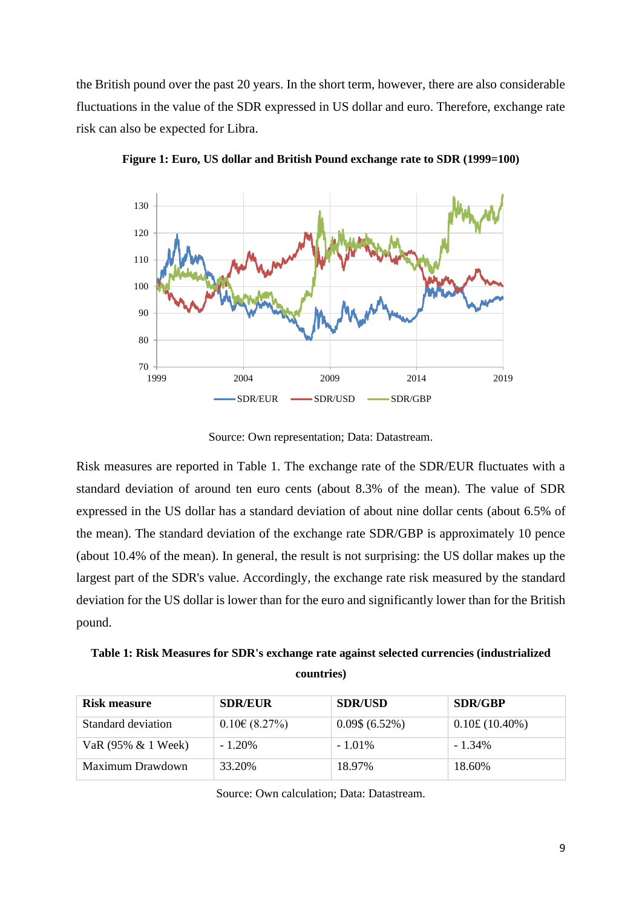the British pound over the past 20 years. In the short term, however, there are also considerable fluctuations in the value of the SDR expressed in US dollar and euro. Therefore, exchange rate risk can also be expected for Libra.



**Figure 1: Euro, US dollar and British Pound exchange rate to SDR (1999=100)**

Source: Own representation; Data: Datastream.

Risk measures are reported in Table 1. The exchange rate of the SDR/EUR fluctuates with a standard deviation of around ten euro cents (about 8.3% of the mean). The value of SDR expressed in the US dollar has a standard deviation of about nine dollar cents (about 6.5% of the mean). The standard deviation of the exchange rate SDR/GBP is approximately 10 pence (about 10.4% of the mean). In general, the result is not surprising: the US dollar makes up the largest part of the SDR's value. Accordingly, the exchange rate risk measured by the standard deviation for the US dollar is lower than for the euro and significantly lower than for the British pound.

**Table 1: Risk Measures for SDR's exchange rate against selected currencies (industrialized countries)**

| Risk measure       | <b>SDR/EUR</b>      | <b>SDR/USD</b>     | <b>SDR/GBP</b> |
|--------------------|---------------------|--------------------|----------------|
| Standard deviation | $0.10 \in (8.27\%)$ | $0.09\$ $(6.52\%)$ | 0.10£(10.40%)  |
| VaR (95% & 1 Week) | $-1.20\%$           | $-1.01\%$          | $-1.34\%$      |
| Maximum Drawdown   | 33.20%              | 18.97%             | 18.60%         |

Source: Own calculation; Data: Datastream.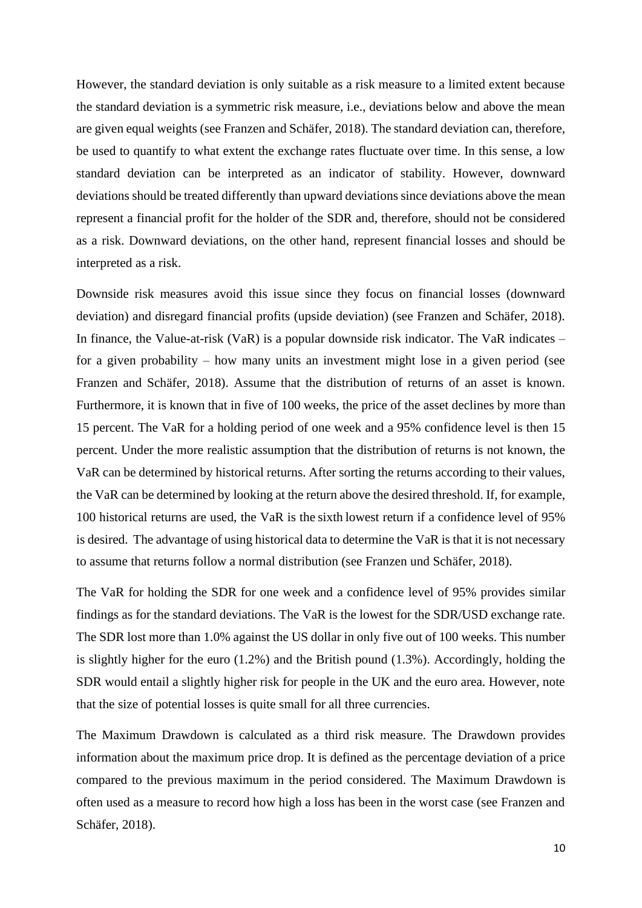However, the standard deviation is only suitable as a risk measure to a limited extent because the standard deviation is a symmetric risk measure, i.e., deviations below and above the mean are given equal weights (see Franzen and Schäfer, 2018). The standard deviation can, therefore, be used to quantify to what extent the exchange rates fluctuate over time. In this sense, a low standard deviation can be interpreted as an indicator of stability. However, downward deviations should be treated differently than upward deviations since deviations above the mean represent a financial profit for the holder of the SDR and, therefore, should not be considered as a risk. Downward deviations, on the other hand, represent financial losses and should be interpreted as a risk.

Downside risk measures avoid this issue since they focus on financial losses (downward deviation) and disregard financial profits (upside deviation) (see Franzen and Schäfer, 2018). In finance, the Value-at-risk (VaR) is a popular downside risk indicator. The VaR indicates – for a given probability – how many units an investment might lose in a given period (see Franzen and Schäfer, 2018). Assume that the distribution of returns of an asset is known. Furthermore, it is known that in five of 100 weeks, the price of the asset declines by more than 15 percent. The VaR for a holding period of one week and a 95% confidence level is then 15 percent. Under the more realistic assumption that the distribution of returns is not known, the VaR can be determined by historical returns. After sorting the returns according to their values, the VaR can be determined by looking at the return above the desired threshold. If, for example, 100 historical returns are used, the VaR is the sixth lowest return if a confidence level of 95% is desired. The advantage of using historical data to determine the VaR is that it is not necessary to assume that returns follow a normal distribution (see Franzen und Schäfer, 2018).

The VaR for holding the SDR for one week and a confidence level of 95% provides similar findings as for the standard deviations. The VaR is the lowest for the SDR/USD exchange rate. The SDR lost more than 1.0% against the US dollar in only five out of 100 weeks. This number is slightly higher for the euro (1.2%) and the British pound (1.3%). Accordingly, holding the SDR would entail a slightly higher risk for people in the UK and the euro area. However, note that the size of potential losses is quite small for all three currencies.

The Maximum Drawdown is calculated as a third risk measure. The Drawdown provides information about the maximum price drop. It is defined as the percentage deviation of a price compared to the previous maximum in the period considered. The Maximum Drawdown is often used as a measure to record how high a loss has been in the worst case (see Franzen and Schäfer, 2018).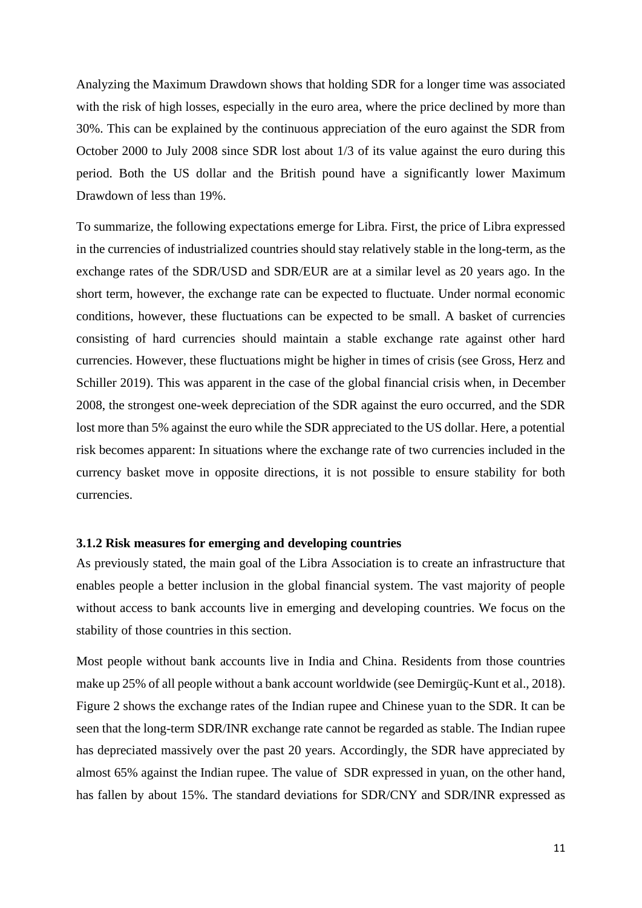Analyzing the Maximum Drawdown shows that holding SDR for a longer time was associated with the risk of high losses, especially in the euro area, where the price declined by more than 30%. This can be explained by the continuous appreciation of the euro against the SDR from October 2000 to July 2008 since SDR lost about 1/3 of its value against the euro during this period. Both the US dollar and the British pound have a significantly lower Maximum Drawdown of less than 19%.

To summarize, the following expectations emerge for Libra. First, the price of Libra expressed in the currencies of industrialized countries should stay relatively stable in the long-term, as the exchange rates of the SDR/USD and SDR/EUR are at a similar level as 20 years ago. In the short term, however, the exchange rate can be expected to fluctuate. Under normal economic conditions, however, these fluctuations can be expected to be small. A basket of currencies consisting of hard currencies should maintain a stable exchange rate against other hard currencies. However, these fluctuations might be higher in times of crisis (see Gross, Herz and Schiller 2019). This was apparent in the case of the global financial crisis when, in December 2008, the strongest one-week depreciation of the SDR against the euro occurred, and the SDR lost more than 5% against the euro while the SDR appreciated to the US dollar. Here, a potential risk becomes apparent: In situations where the exchange rate of two currencies included in the currency basket move in opposite directions, it is not possible to ensure stability for both currencies.

### **3.1.2 Risk measures for emerging and developing countries**

As previously stated, the main goal of the Libra Association is to create an infrastructure that enables people a better inclusion in the global financial system. The vast majority of people without access to bank accounts live in emerging and developing countries. We focus on the stability of those countries in this section.

Most people without bank accounts live in India and China. Residents from those countries make up 25% of all people without a bank account worldwide (see Demirgüç-Kunt et al., 2018). Figure 2 shows the exchange rates of the Indian rupee and Chinese yuan to the SDR. It can be seen that the long-term SDR/INR exchange rate cannot be regarded as stable. The Indian rupee has depreciated massively over the past 20 years. Accordingly, the SDR have appreciated by almost 65% against the Indian rupee. The value of SDR expressed in yuan, on the other hand, has fallen by about 15%. The standard deviations for SDR/CNY and SDR/INR expressed as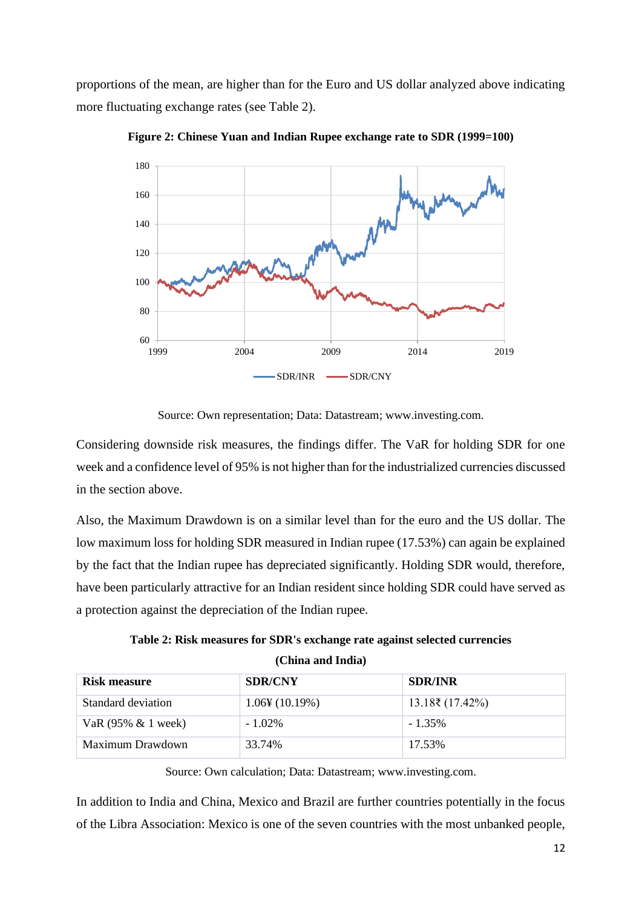proportions of the mean, are higher than for the Euro and US dollar analyzed above indicating more fluctuating exchange rates (see Table 2).



**Figure 2: Chinese Yuan and Indian Rupee exchange rate to SDR (1999=100)**

Source: Own representation; Data: Datastream; www.investing.com.

Considering downside risk measures, the findings differ. The VaR for holding SDR for one week and a confidence level of 95% is not higher than for the industrialized currencies discussed in the section above.

Also, the Maximum Drawdown is on a similar level than for the euro and the US dollar. The low maximum loss for holding SDR measured in Indian rupee (17.53%) can again be explained by the fact that the Indian rupee has depreciated significantly. Holding SDR would, therefore, have been particularly attractive for an Indian resident since holding SDR could have served as a protection against the depreciation of the Indian rupee.

**Table 2: Risk measures for SDR's exchange rate against selected currencies** 

| Risk measure           | <b>SDR/CNY</b>             | <b>SDR/INR</b>      |
|------------------------|----------------------------|---------------------|
| Standard deviation     | $1.06\frac{1}{2}(10.19\%)$ | $13.18\$ ₹ (17.42%) |
| VaR $(95\% \& 1$ week) | $-1.02\%$                  | $-1.35\%$           |
| Maximum Drawdown       | 33.74%                     | 17.53%              |

Source: Own calculation; Data: Datastream; www.investing.com.

In addition to India and China, Mexico and Brazil are further countries potentially in the focus of the Libra Association: Mexico is one of the seven countries with the most unbanked people,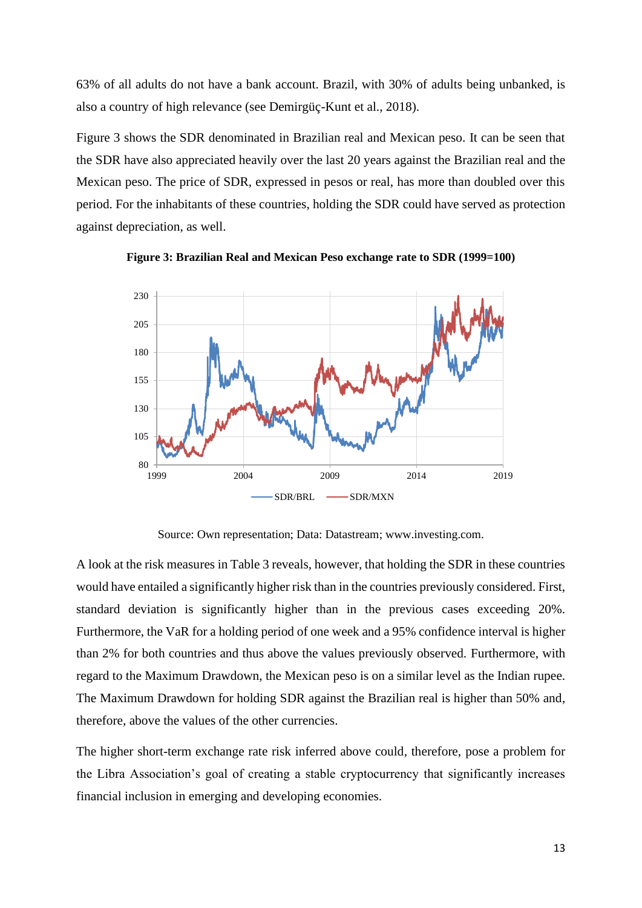63% of all adults do not have a bank account. Brazil, with 30% of adults being unbanked, is also a country of high relevance (see Demirgüç-Kunt et al., 2018).

Figure 3 shows the SDR denominated in Brazilian real and Mexican peso. It can be seen that the SDR have also appreciated heavily over the last 20 years against the Brazilian real and the Mexican peso. The price of SDR, expressed in pesos or real, has more than doubled over this period. For the inhabitants of these countries, holding the SDR could have served as protection against depreciation, as well.



**Figure 3: Brazilian Real and Mexican Peso exchange rate to SDR (1999=100)**

Source: Own representation; Data: Datastream; www.investing.com.

A look at the risk measures in Table 3 reveals, however, that holding the SDR in these countries would have entailed a significantly higher risk than in the countries previously considered. First, standard deviation is significantly higher than in the previous cases exceeding 20%. Furthermore, the VaR for a holding period of one week and a 95% confidence interval is higher than 2% for both countries and thus above the values previously observed. Furthermore, with regard to the Maximum Drawdown, the Mexican peso is on a similar level as the Indian rupee. The Maximum Drawdown for holding SDR against the Brazilian real is higher than 50% and, therefore, above the values of the other currencies.

The higher short-term exchange rate risk inferred above could, therefore, pose a problem for the Libra Association's goal of creating a stable cryptocurrency that significantly increases financial inclusion in emerging and developing economies.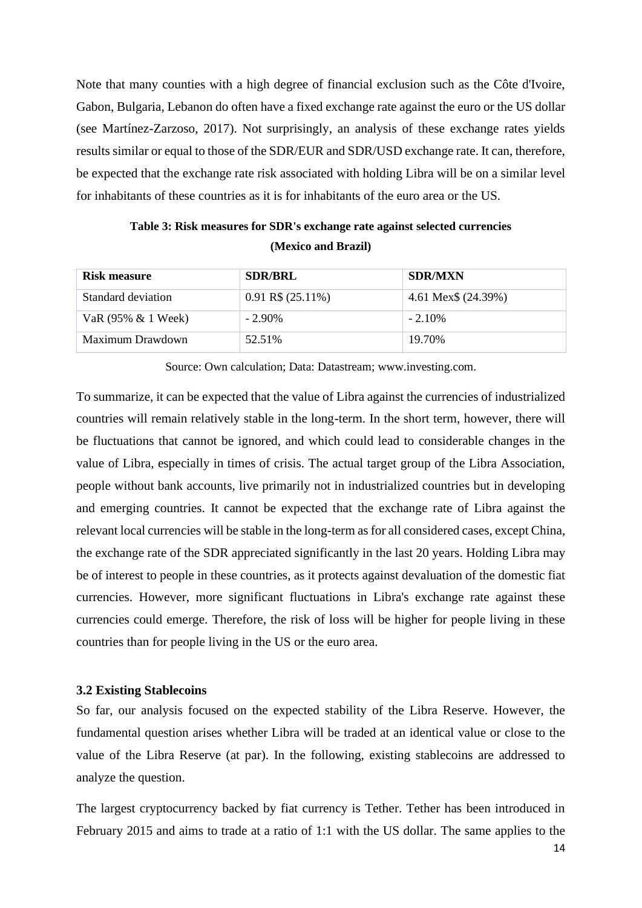Note that many counties with a high degree of financial exclusion such as the Côte d'Ivoire, Gabon, Bulgaria, Lebanon do often have a fixed exchange rate against the euro or the US dollar (see Martínez-Zarzoso, 2017). Not surprisingly, an analysis of these exchange rates yields results similar or equal to those of the SDR/EUR and SDR/USD exchange rate. It can, therefore, be expected that the exchange rate risk associated with holding Libra will be on a similar level for inhabitants of these countries as it is for inhabitants of the euro area or the US.

| Table 3: Risk measures for SDR's exchange rate against selected currencies |
|----------------------------------------------------------------------------|
| (Mexico and Brazil)                                                        |

| Risk measure       | <b>SDR/BRL</b>         | <b>SDR/MXN</b>      |
|--------------------|------------------------|---------------------|
| Standard deviation | $0.91$ R\$ $(25.11\%)$ | 4.61 Mex\$ (24.39%) |
| VaR (95% & 1 Week) | $-2.90\%$              | $-2.10\%$           |
| Maximum Drawdown   | 52.51%                 | 19.70%              |

Source: Own calculation; Data: Datastream; www.investing.com.

To summarize, it can be expected that the value of Libra against the currencies of industrialized countries will remain relatively stable in the long-term. In the short term, however, there will be fluctuations that cannot be ignored, and which could lead to considerable changes in the value of Libra, especially in times of crisis. The actual target group of the Libra Association, people without bank accounts, live primarily not in industrialized countries but in developing and emerging countries. It cannot be expected that the exchange rate of Libra against the relevant local currencies will be stable in the long-term as for all considered cases, except China, the exchange rate of the SDR appreciated significantly in the last 20 years. Holding Libra may be of interest to people in these countries, as it protects against devaluation of the domestic fiat currencies. However, more significant fluctuations in Libra's exchange rate against these currencies could emerge. Therefore, the risk of loss will be higher for people living in these countries than for people living in the US or the euro area.

#### **3.2 Existing Stablecoins**

So far, our analysis focused on the expected stability of the Libra Reserve. However, the fundamental question arises whether Libra will be traded at an identical value or close to the value of the Libra Reserve (at par). In the following, existing stablecoins are addressed to analyze the question.

The largest cryptocurrency backed by fiat currency is Tether. Tether has been introduced in February 2015 and aims to trade at a ratio of 1:1 with the US dollar. The same applies to the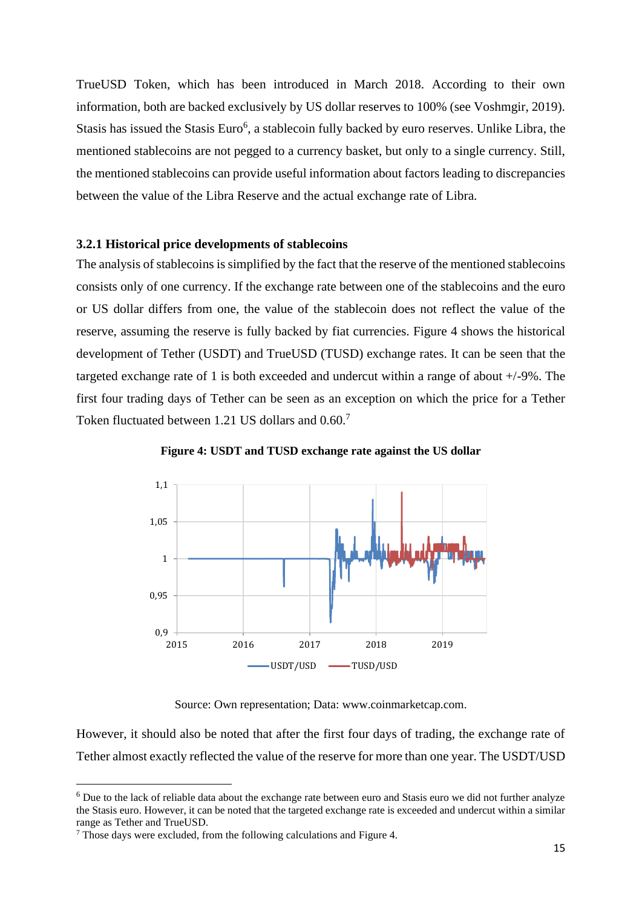TrueUSD Token, which has been introduced in March 2018. According to their own information, both are backed exclusively by US dollar reserves to 100% (see Voshmgir, 2019). Stasis has issued the Stasis Euro<sup>6</sup>, a stablecoin fully backed by euro reserves. Unlike Libra, the mentioned stablecoins are not pegged to a currency basket, but only to a single currency. Still, the mentioned stablecoins can provide useful information about factors leading to discrepancies between the value of the Libra Reserve and the actual exchange rate of Libra.

#### **3.2.1 Historical price developments of stablecoins**

The analysis of stablecoins is simplified by the fact that the reserve of the mentioned stablecoins consists only of one currency. If the exchange rate between one of the stablecoins and the euro or US dollar differs from one, the value of the stablecoin does not reflect the value of the reserve, assuming the reserve is fully backed by fiat currencies. Figure 4 shows the historical development of Tether (USDT) and TrueUSD (TUSD) exchange rates. It can be seen that the targeted exchange rate of 1 is both exceeded and undercut within a range of about +/-9%. The first four trading days of Tether can be seen as an exception on which the price for a Tether Token fluctuated between 1.21 US dollars and 0.60.<sup>7</sup>



**Figure 4: USDT and TUSD exchange rate against the US dollar**

Source: Own representation; Data: www.coinmarketcap.com.

However, it should also be noted that after the first four days of trading, the exchange rate of Tether almost exactly reflected the value of the reserve for more than one year. The USDT/USD

<sup>&</sup>lt;sup>6</sup> Due to the lack of reliable data about the exchange rate between euro and Stasis euro we did not further analyze the Stasis euro. However, it can be noted that the targeted exchange rate is exceeded and undercut within a similar range as Tether and TrueUSD.

<sup>&</sup>lt;sup>7</sup> Those days were excluded, from the following calculations and Figure 4.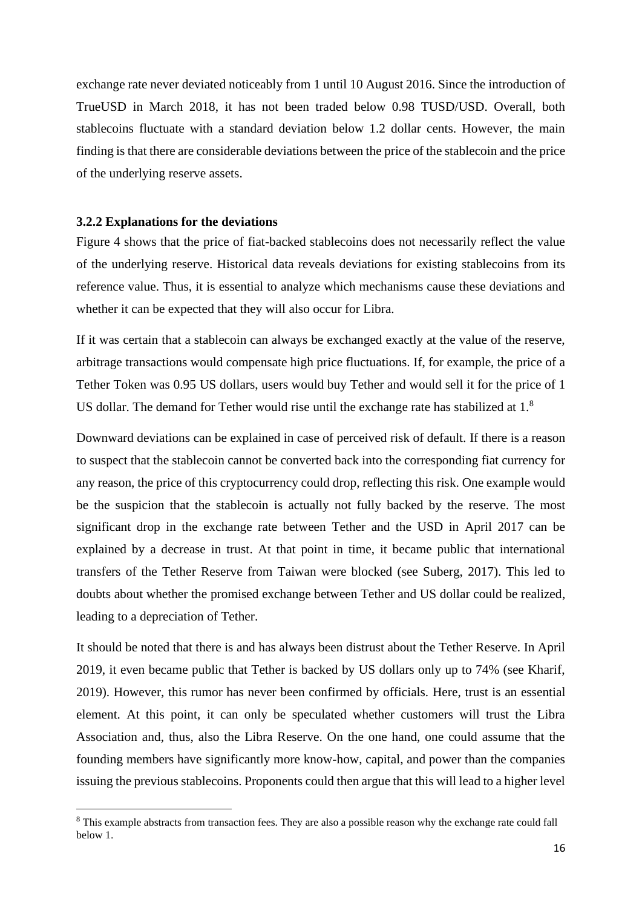exchange rate never deviated noticeably from 1 until 10 August 2016. Since the introduction of TrueUSD in March 2018, it has not been traded below 0.98 TUSD/USD. Overall, both stablecoins fluctuate with a standard deviation below 1.2 dollar cents. However, the main finding is that there are considerable deviations between the price of the stablecoin and the price of the underlying reserve assets.

#### **3.2.2 Explanations for the deviations**

Figure 4 shows that the price of fiat-backed stablecoins does not necessarily reflect the value of the underlying reserve. Historical data reveals deviations for existing stablecoins from its reference value. Thus, it is essential to analyze which mechanisms cause these deviations and whether it can be expected that they will also occur for Libra.

If it was certain that a stablecoin can always be exchanged exactly at the value of the reserve, arbitrage transactions would compensate high price fluctuations. If, for example, the price of a Tether Token was 0.95 US dollars, users would buy Tether and would sell it for the price of 1 US dollar. The demand for Tether would rise until the exchange rate has stabilized at 1.<sup>8</sup>

Downward deviations can be explained in case of perceived risk of default. If there is a reason to suspect that the stablecoin cannot be converted back into the corresponding fiat currency for any reason, the price of this cryptocurrency could drop, reflecting this risk. One example would be the suspicion that the stablecoin is actually not fully backed by the reserve. The most significant drop in the exchange rate between Tether and the USD in April 2017 can be explained by a decrease in trust. At that point in time, it became public that international transfers of the Tether Reserve from Taiwan were blocked (see Suberg, 2017). This led to doubts about whether the promised exchange between Tether and US dollar could be realized, leading to a depreciation of Tether.

It should be noted that there is and has always been distrust about the Tether Reserve. In April 2019, it even became public that Tether is backed by US dollars only up to 74% (see Kharif, 2019). However, this rumor has never been confirmed by officials. Here, trust is an essential element. At this point, it can only be speculated whether customers will trust the Libra Association and, thus, also the Libra Reserve. On the one hand, one could assume that the founding members have significantly more know-how, capital, and power than the companies issuing the previous stablecoins. Proponents could then argue that this will lead to a higher level

<sup>&</sup>lt;sup>8</sup> This example abstracts from transaction fees. They are also a possible reason why the exchange rate could fall below 1.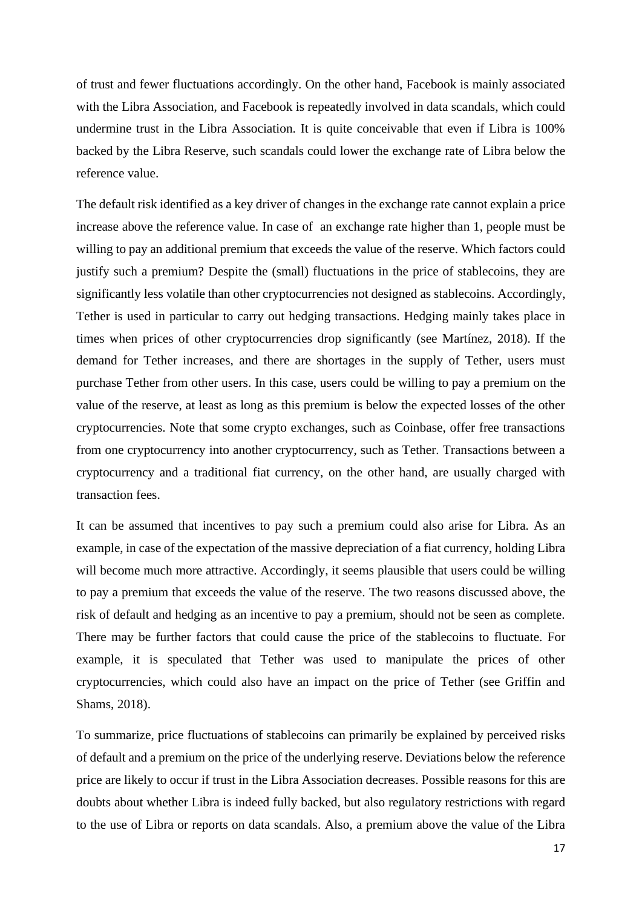of trust and fewer fluctuations accordingly. On the other hand, Facebook is mainly associated with the Libra Association, and Facebook is repeatedly involved in data scandals, which could undermine trust in the Libra Association. It is quite conceivable that even if Libra is 100% backed by the Libra Reserve, such scandals could lower the exchange rate of Libra below the reference value.

The default risk identified as a key driver of changes in the exchange rate cannot explain a price increase above the reference value. In case of an exchange rate higher than 1, people must be willing to pay an additional premium that exceeds the value of the reserve. Which factors could justify such a premium? Despite the (small) fluctuations in the price of stablecoins, they are significantly less volatile than other cryptocurrencies not designed as stablecoins. Accordingly, Tether is used in particular to carry out hedging transactions. Hedging mainly takes place in times when prices of other cryptocurrencies drop significantly (see Martínez, 2018). If the demand for Tether increases, and there are shortages in the supply of Tether, users must purchase Tether from other users. In this case, users could be willing to pay a premium on the value of the reserve, at least as long as this premium is below the expected losses of the other cryptocurrencies. Note that some crypto exchanges, such as Coinbase, offer free transactions from one cryptocurrency into another cryptocurrency, such as Tether. Transactions between a cryptocurrency and a traditional fiat currency, on the other hand, are usually charged with transaction fees.

It can be assumed that incentives to pay such a premium could also arise for Libra. As an example, in case of the expectation of the massive depreciation of a fiat currency, holding Libra will become much more attractive. Accordingly, it seems plausible that users could be willing to pay a premium that exceeds the value of the reserve. The two reasons discussed above, the risk of default and hedging as an incentive to pay a premium, should not be seen as complete. There may be further factors that could cause the price of the stablecoins to fluctuate. For example, it is speculated that Tether was used to manipulate the prices of other cryptocurrencies, which could also have an impact on the price of Tether (see Griffin and Shams, 2018).

To summarize, price fluctuations of stablecoins can primarily be explained by perceived risks of default and a premium on the price of the underlying reserve. Deviations below the reference price are likely to occur if trust in the Libra Association decreases. Possible reasons for this are doubts about whether Libra is indeed fully backed, but also regulatory restrictions with regard to the use of Libra or reports on data scandals. Also, a premium above the value of the Libra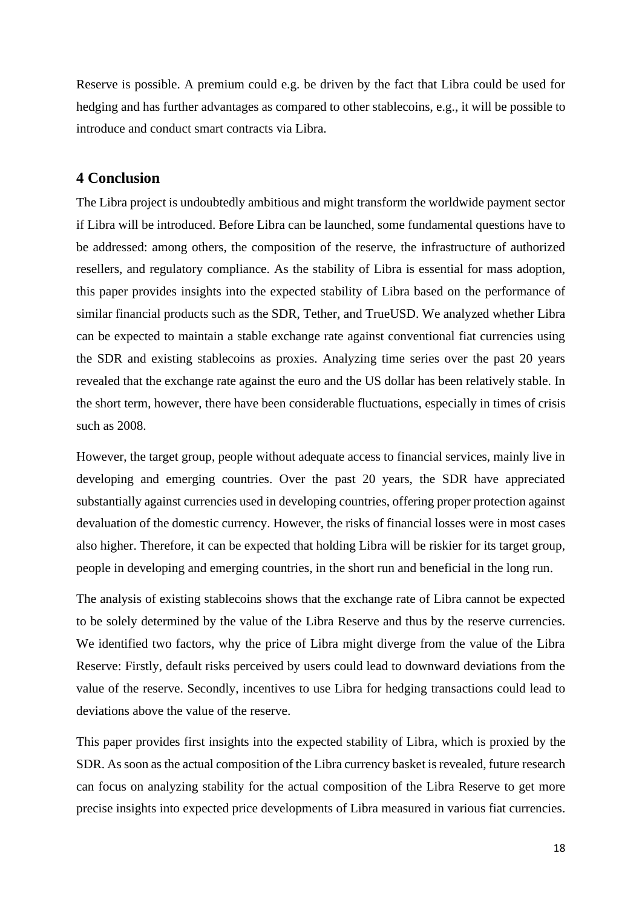Reserve is possible. A premium could e.g. be driven by the fact that Libra could be used for hedging and has further advantages as compared to other stablecoins, e.g., it will be possible to introduce and conduct smart contracts via Libra.

# **4 Conclusion**

The Libra project is undoubtedly ambitious and might transform the worldwide payment sector if Libra will be introduced. Before Libra can be launched, some fundamental questions have to be addressed: among others, the composition of the reserve, the infrastructure of authorized resellers, and regulatory compliance. As the stability of Libra is essential for mass adoption, this paper provides insights into the expected stability of Libra based on the performance of similar financial products such as the SDR, Tether, and TrueUSD. We analyzed whether Libra can be expected to maintain a stable exchange rate against conventional fiat currencies using the SDR and existing stablecoins as proxies. Analyzing time series over the past 20 years revealed that the exchange rate against the euro and the US dollar has been relatively stable. In the short term, however, there have been considerable fluctuations, especially in times of crisis such as 2008.

However, the target group, people without adequate access to financial services, mainly live in developing and emerging countries. Over the past 20 years, the SDR have appreciated substantially against currencies used in developing countries, offering proper protection against devaluation of the domestic currency. However, the risks of financial losses were in most cases also higher. Therefore, it can be expected that holding Libra will be riskier for its target group, people in developing and emerging countries, in the short run and beneficial in the long run.

The analysis of existing stablecoins shows that the exchange rate of Libra cannot be expected to be solely determined by the value of the Libra Reserve and thus by the reserve currencies. We identified two factors, why the price of Libra might diverge from the value of the Libra Reserve: Firstly, default risks perceived by users could lead to downward deviations from the value of the reserve. Secondly, incentives to use Libra for hedging transactions could lead to deviations above the value of the reserve.

This paper provides first insights into the expected stability of Libra, which is proxied by the SDR. As soon as the actual composition of the Libra currency basket is revealed, future research can focus on analyzing stability for the actual composition of the Libra Reserve to get more precise insights into expected price developments of Libra measured in various fiat currencies.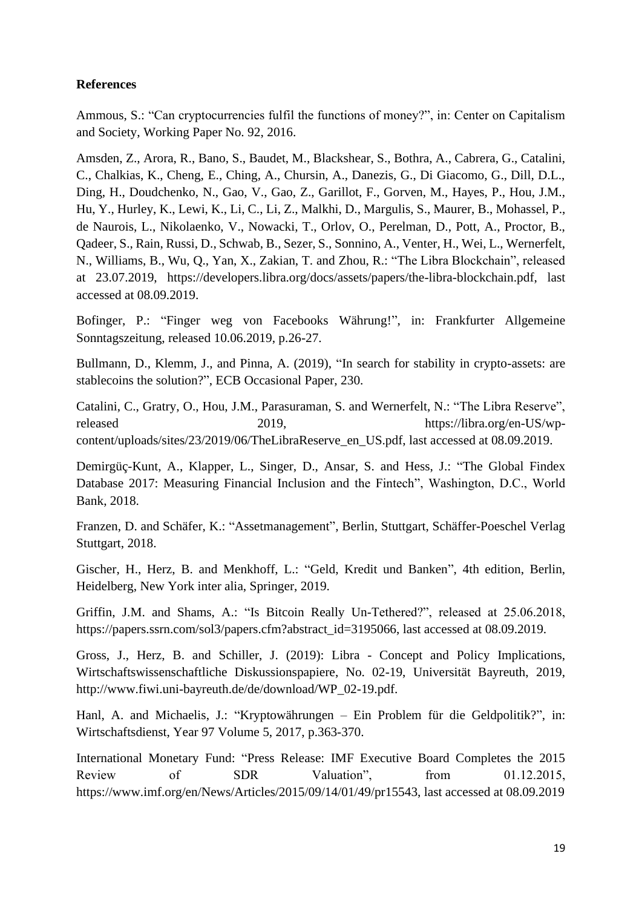# **References**

Ammous, S.: "Can cryptocurrencies fulfil the functions of money?", in: Center on Capitalism and Society, Working Paper No. 92, 2016.

Amsden, Z., Arora, R., Bano, S., Baudet, M., Blackshear, S., Bothra, A., Cabrera, G., Catalini, C., Chalkias, K., Cheng, E., Ching, A., Chursin, A., Danezis, G., Di Giacomo, G., Dill, D.L., Ding, H., Doudchenko, N., Gao, V., Gao, Z., Garillot, F., Gorven, M., Hayes, P., Hou, J.M., Hu, Y., Hurley, K., Lewi, K., Li, C., Li, Z., Malkhi, D., Margulis, S., Maurer, B., Mohassel, P., de Naurois, L., Nikolaenko, V., Nowacki, T., Orlov, O., Perelman, D., Pott, A., Proctor, B., Qadeer, S., Rain, Russi, D., Schwab, B., Sezer, S., Sonnino, A., Venter, H., Wei, L., Wernerfelt, N., Williams, B., Wu, Q., Yan, X., Zakian, T. and Zhou, R.: "The Libra Blockchain", released at 23.07.2019, https://developers.libra.org/docs/assets/papers/the-libra-blockchain.pdf, last accessed at 08.09.2019.

Bofinger, P.: "Finger weg von Facebooks Währung!", in: Frankfurter Allgemeine Sonntagszeitung, released 10.06.2019, p.26-27.

Bullmann, D., Klemm, J., and Pinna, A. (2019), "In search for stability in crypto-assets: are stablecoins the solution?", ECB Occasional Paper, 230.

Catalini, C., Gratry, O., Hou, J.M., Parasuraman, S. and Wernerfelt, N.: "The Libra Reserve", released 2019, https://libra.org/en-US/wpcontent/uploads/sites/23/2019/06/TheLibraReserve\_en\_US.pdf, last accessed at 08.09.2019.

Demirgüç-Kunt, A., Klapper, L., Singer, D., Ansar, S. and Hess, J.: "The Global Findex Database 2017: Measuring Financial Inclusion and the Fintech", Washington, D.C., World Bank, 2018.

Franzen, D. and Schäfer, K.: "Assetmanagement", Berlin, Stuttgart, Schäffer-Poeschel Verlag Stuttgart, 2018.

Gischer, H., Herz, B. and Menkhoff, L.: "Geld, Kredit und Banken", 4th edition, Berlin, Heidelberg, New York inter alia, Springer, 2019.

Griffin, J.M. and Shams, A.: "Is Bitcoin Really Un-Tethered?", released at 25.06.2018, https://papers.ssrn.com/sol3/papers.cfm?abstract\_id=3195066, last accessed at 08.09.2019.

Gross, J., Herz, B. and Schiller, J. (2019): Libra - Concept and Policy Implications, Wirtschaftswissenschaftliche Diskussionspapiere, No. 02-19, Universität Bayreuth, 2019, http://www.fiwi.uni-bayreuth.de/de/download/WP\_02-19.pdf.

Hanl, A. and Michaelis, J.: "Kryptowährungen – Ein Problem für die Geldpolitik?", in: Wirtschaftsdienst, Year 97 Volume 5, 2017, p.363-370.

International Monetary Fund: "Press Release: IMF Executive Board Completes the 2015 Review of SDR Valuation", from 01.12.2015, https://www.imf.org/en/News/Articles/2015/09/14/01/49/pr15543, last accessed at 08.09.2019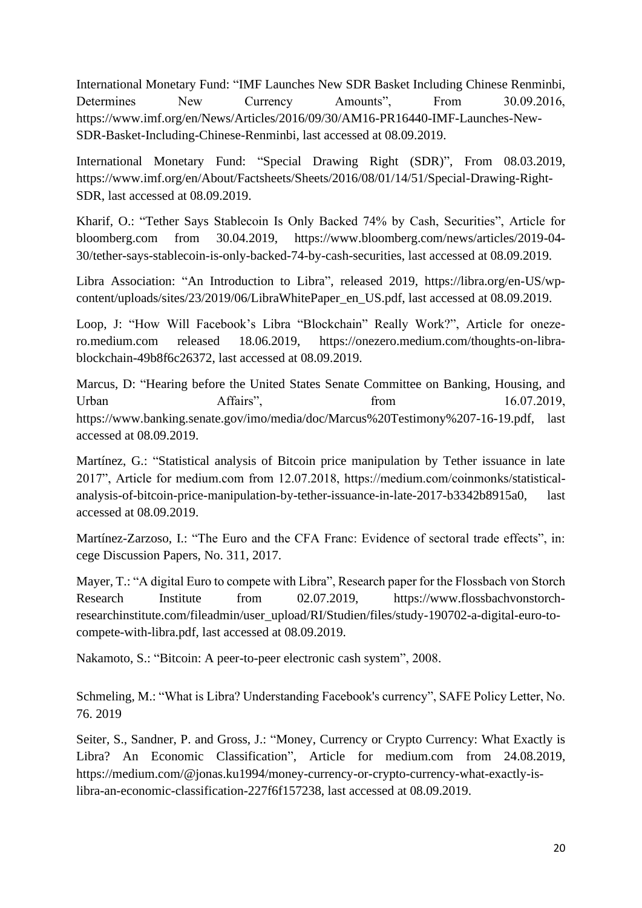International Monetary Fund: "IMF Launches New SDR Basket Including Chinese Renminbi, Determines New Currency Amounts", From 30.09.2016, https://www.imf.org/en/News/Articles/2016/09/30/AM16-PR16440-IMF-Launches-New-SDR-Basket-Including-Chinese-Renminbi, last accessed at 08.09.2019.

International Monetary Fund: "Special Drawing Right (SDR)", From 08.03.2019, https://www.imf.org/en/About/Factsheets/Sheets/2016/08/01/14/51/Special-Drawing-Right-SDR, last accessed at 08.09.2019.

Kharif, O.: "Tether Says Stablecoin Is Only Backed 74% by Cash, Securities", Article for bloomberg.com from 30.04.2019, https://www.bloomberg.com/news/articles/2019-04- 30/tether-says-stablecoin-is-only-backed-74-by-cash-securities, last accessed at 08.09.2019.

Libra Association: "An Introduction to Libra", released 2019, https://libra.org/en-US/wpcontent/uploads/sites/23/2019/06/LibraWhitePaper\_en\_US.pdf, last accessed at 08.09.2019.

Loop, J: "How Will Facebook's Libra "Blockchain" Really Work?", Article for onezero.medium.com released 18.06.2019, https://onezero.medium.com/thoughts-on-librablockchain-49b8f6c26372, last accessed at 08.09.2019.

Marcus, D: "Hearing before the United States Senate Committee on Banking, Housing, and Urban Affairs", from 16.07.2019, https://www.banking.senate.gov/imo/media/doc/Marcus%20Testimony%207-16-19.pdf, last accessed at 08.09.2019.

Martínez, G.: "Statistical analysis of Bitcoin price manipulation by Tether issuance in late 2017", Article for medium.com from 12.07.2018, https://medium.com/coinmonks/statisticalanalysis-of-bitcoin-price-manipulation-by-tether-issuance-in-late-2017-b3342b8915a0, last accessed at 08.09.2019.

Martínez-Zarzoso, I.: "The Euro and the CFA Franc: Evidence of sectoral trade effects", in: cege Discussion Papers, No. 311, 2017.

Mayer, T.: "A digital Euro to compete with Libra", Research paper for the Flossbach von Storch Research Institute from 02.07.2019, https://www.flossbachvonstorchresearchinstitute.com/fileadmin/user\_upload/RI/Studien/files/study-190702-a-digital-euro-tocompete-with-libra.pdf, last accessed at 08.09.2019.

Nakamoto, S.: "Bitcoin: A peer-to-peer electronic cash system", 2008.

Schmeling, M.: "What is Libra? Understanding Facebook's currency", SAFE Policy Letter, No. 76. 2019

Seiter, S., Sandner, P. and Gross, J.: "Money, Currency or Crypto Currency: What Exactly is Libra? An Economic Classification", Article for medium.com from 24.08.2019, https://medium.com/@jonas.ku1994/money-currency-or-crypto-currency-what-exactly-islibra-an-economic-classification-227f6f157238, last accessed at 08.09.2019.